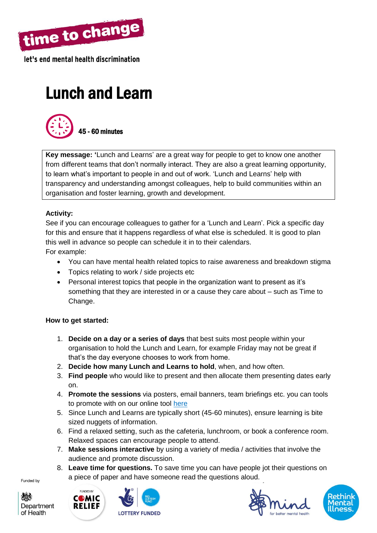

let's end mental health discrimination

# Lunch and Learn



**Key message: '**Lunch and Learns' are a great way for people to get to know one another from different teams that don't normally interact. They are also a great learning opportunity, to learn what's important to people in and out of work. 'Lunch and Learns' help with transparency and understanding amongst colleagues, help to build communities within an organisation and foster learning, growth and development.

### **Activity:**

See if you can encourage colleagues to gather for a 'Lunch and Learn'. Pick a specific day for this and ensure that it happens regardless of what else is scheduled. It is good to plan this well in advance so people can schedule it in to their calendars.

For example:

- You can have mental health related topics to raise awareness and breakdown stigma
- Topics relating to work / side projects etc
- Personal interest topics that people in the organization want to present as it's something that they are interested in or a cause they care about – such as Time to Change.

#### **How to get started:**

- 1. **Decide on a day or a series of days** that best suits most people within your organisation to hold the Lunch and Learn, for example Friday may not be great if that's the day everyone chooses to work from home.
- 2. **Decide how many Lunch and Learns to hold**, when, and how often.
- 3. **Find people** who would like to present and then allocate them presenting dates early on.
- 4. **Promote the sessions** via posters, email banners, team briefings etc. you can tools to promote with on our online tool [here](https://timetochange.brandstencil.com/resources/asset-library)
- 5. Since Lunch and Learns are typically short (45-60 minutes), ensure learning is bite sized nuggets of information.
- 6. Find a relaxed setting, such as the cafeteria, lunchroom, or book a conference room. Relaxed spaces can encourage people to attend.
- 7. **Make sessions interactive** by using a variety of media / activities that involve the audience and promote discussion.
- 8. **Leave time for questions.** To save time you can have people jot their questions on a piece of paper and have someone read the questions aloud.

Funded by